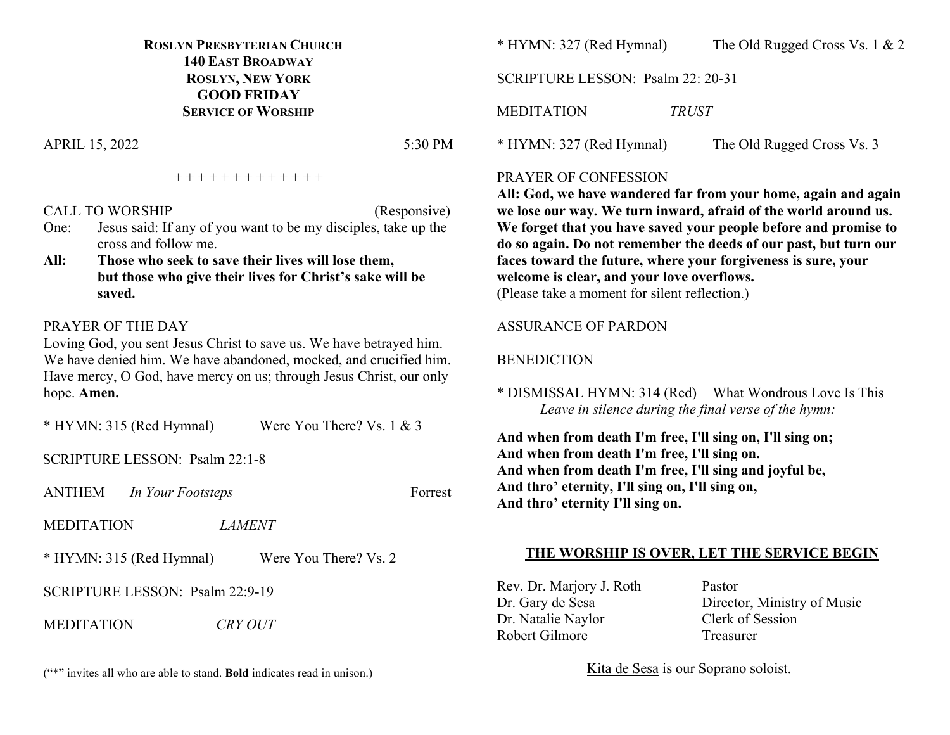# **ROSLYN PRESBYTERIAN CHURCH 140 EAST BROADWAY ROSLYN, NEW YORK GOOD FRIDAY SERVICE OF WORSHIP**

APRIL 15, 2022 5:30 PM

+ + + + + + + + + + + + +

## CALL TO WORSHIP (Responsive)

- One: Jesus said: If any of you want to be my disciples, take up the cross and follow me.
- **All: Those who seek to save their lives will lose them, but those who give their lives for Christ's sake will be saved.**

## PRAYER OF THE DAY

Loving God, you sent Jesus Christ to save us. We have betrayed him. We have denied him. We have abandoned, mocked, and crucified him. Have mercy, O God, have mercy on us; through Jesus Christ, our only hope. **Amen.**

\* HYMN: 315 (Red Hymnal) Were You There? Vs. 1 & 3

SCRIPTURE LESSON: Psalm 22:1-8

ANTHEM *In Your Footsteps* Forrest

MEDITATION *LAMENT*

\* HYMN: 315 (Red Hymnal) Were You There? Vs. 2

SCRIPTURE LESSON: Psalm 22:9-19

MEDITATION *CRY OUT*

("\*" invites all who are able to stand. **Bold** indicates read in unison.)

\* HYMN: 327 (Red Hymnal) The Old Rugged Cross Vs. 1 & 2

SCRIPTURE LESSON: Psalm 22: 20-31

MEDITATION *TRUST*

\* HYMN: 327 (Red Hymnal) The Old Rugged Cross Vs. 3

## PRAYER OF CONFESSION

**All: God, we have wandered far from your home, again and again we lose our way. We turn inward, afraid of the world around us. We forget that you have saved your people before and promise to do so again. Do not remember the deeds of our past, but turn our faces toward the future, where your forgiveness is sure, your welcome is clear, and your love overflows.** (Please take a moment for silent reflection.)

## ASSURANCE OF PARDON

# BENEDICTION

\* DISMISSAL HYMN: 314 (Red) What Wondrous Love Is This *Leave in silence during the final verse of the hymn:*

**And when from death I'm free, I'll sing on, I'll sing on; And when from death I'm free, I'll sing on. And when from death I'm free, I'll sing and joyful be, And thro' eternity, I'll sing on, I'll sing on, And thro' eternity I'll sing on.**

# **THE WORSHIP IS OVER, LET THE SERVICE BEGIN**

Rev. Dr. Marjory J. Roth Pastor Dr. Natalie Naylor Clerk of Session Robert Gilmore Treasurer

Dr. Gary de Sesa Director, Ministry of Music

Kita de Sesa is our Soprano soloist.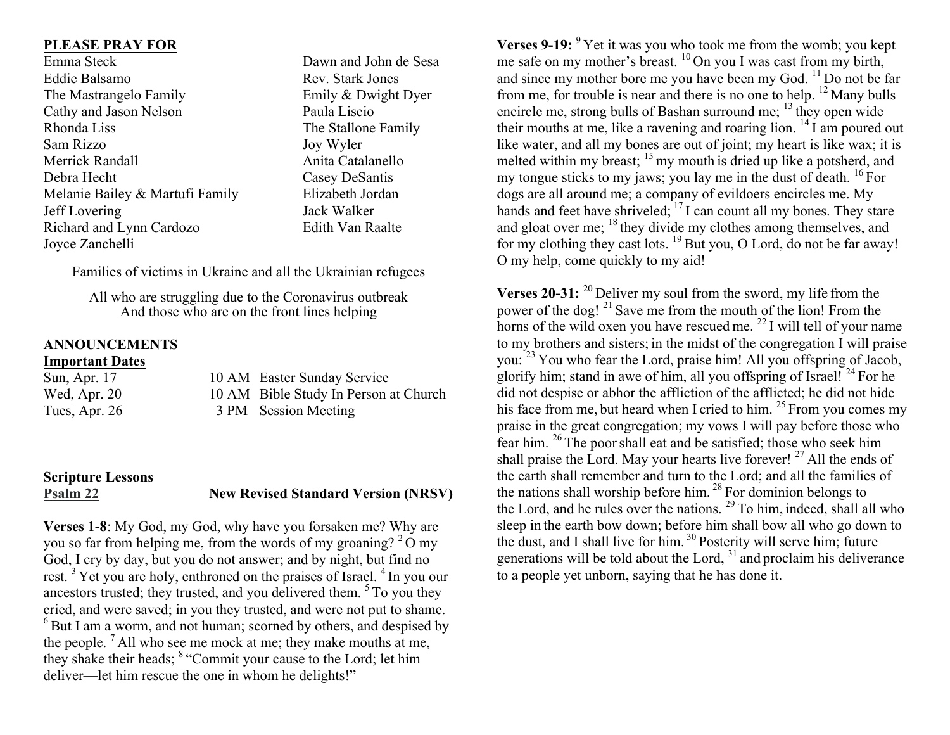## **PLEASE PRAY FOR**

Emma Steck Dawn and John de Sesa Eddie Balsamo Rev. Stark Jones The Mastrangelo Family Emily & Dwight Dyer Cathy and Jason Nelson Paula Liscio Rhonda Liss The Stallone Family Sam Rizzo Joy Wyler Merrick Randall **Anita Catalanello** Debra Hecht Casey DeSantis Melanie Bailey & Martufi Family Elizabeth Jordan Jeff Lovering Jack Walker Richard and Lynn Cardozo Edith Van Raalte Joyce Zanchelli

Families of victims in Ukraine and all the Ukrainian refugees

All who are struggling due to the Coronavirus outbreak And those who are on the front lines helping

## **ANNOUNCEMENTS Important Dates**

| Sun, Apr. 17  | 10 AM Easter Sunday Service           |
|---------------|---------------------------------------|
| Wed, Apr. 20  | 10 AM Bible Study In Person at Church |
| Tues, Apr. 26 | 3 PM Session Meeting                  |

# **Scripture Lessons Psalm 22 New Revised Standard Version (NRSV)**

**Verses 1-8**: My God, my God, why have you forsaken me? Why are you so far from helping me, from the words of my groaning?  $2^2$ O my God, I cry by day, but you do not answer; and by night, but find no rest.<sup>3</sup> Yet you are holy, enthroned on the praises of Israel.<sup>4</sup> In you our ancestors trusted; they trusted, and you delivered them. <sup>5</sup> To you they cried, and were saved; in you they trusted, and were not put to shame.  $6$  But I am a worm, and not human; scorned by others, and despised by the people.  $<sup>7</sup>$  All who see me mock at me; they make mouths at me,</sup> they shake their heads; <sup>8</sup> "Commit your cause to the Lord; let him deliver—let him rescue the one in whom he delights!"

**Verses 9-19:** <sup>9</sup> Yet it was you who took me from the womb; you kept me safe on my mother's breast. <sup>10</sup> On you I was cast from my birth, and since my mother bore me you have been my God. <sup>11</sup> Do not be far from me, for trouble is near and there is no one to help. <sup>12</sup> Many bulls encircle me, strong bulls of Bashan surround me;  $^{13}$  they open wide their mouths at me, like a ravening and roaring lion.  $^{14}$  I am poured out like water, and all my bones are out of joint; my heart is like wax; it is melted within my breast; <sup>15</sup> my mouth is dried up like a potsherd, and my tongue sticks to my jaws; you lay me in the dust of death. <sup>16</sup> For dogs are all around me; a company of evildoers encircles me. My hands and feet have shriveled;  $^{17}$  I can count all my bones. They stare and gloat over me; <sup>18</sup> they divide my clothes among themselves, and for my clothing they cast lots.  $^{19}$  But you, O Lord, do not be far away! O my help, come quickly to my aid!

**Verses 20-31:** <sup>20</sup> Deliver my soul from the sword, my life from the power of the dog! <sup>21</sup> Save me from the mouth of the lion! From the horns of the wild oxen you have rescued me.  $^{22}$  I will tell of your name to my brothers and sisters; in the midst of the congregation I will praise you: <sup>23</sup> You who fear the Lord, praise him! All you offspring of Jacob, glorify him; stand in awe of him, all you offspring of Israel!  $^{24}$  For he did not despise or abhor the affliction of the afflicted; he did not hide his face from me, but heard when I cried to him.  $^{25}$  From you comes my praise in the great congregation; my vows I will pay before those who fear him. <sup>26</sup> The poorshall eat and be satisfied; those who seek him shall praise the Lord. May your hearts live forever!  $27$  All the ends of the earth shall remember and turn to the Lord; and all the families of the nations shall worship before him. <sup>28</sup> For dominion belongs to the Lord, and he rules over the nations.  $^{29}$  To him, indeed, shall all who sleep in the earth bow down; before him shall bow all who go down to the dust, and I shall live for him. <sup>30</sup> Posterity will serve him; future generations will be told about the Lord,  $31$  and proclaim his deliverance to a people yet unborn, saying that he has done it.